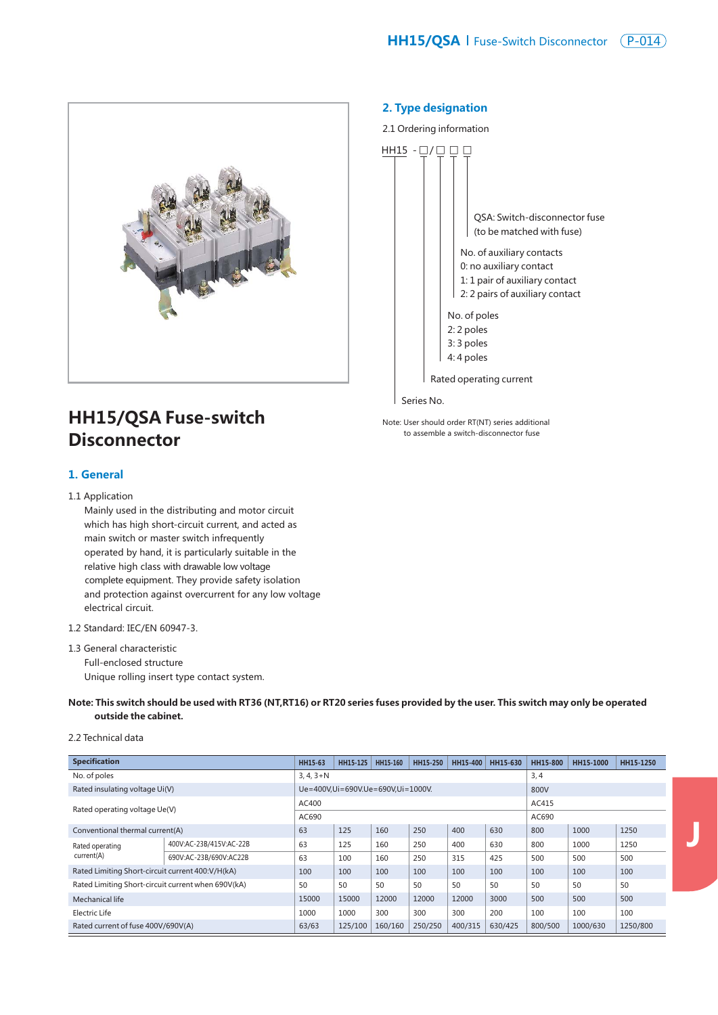

**J**



# **HH15/QSA Fuse-switch Disconnector**

## **1. General**

#### 1.1 Application

 Mainly used in the distributing and motor circuit which has high short-circuit current, and acted as main switch or master switch infrequently operated by hand, it is particularly suitable in the relative high class with drawable low voltage complete equipment. They provide safety isolation and protection against overcurrent for any low voltage electrical circuit.

#### 1.2 Standard: IEC/EN 60947-3.

1.3 General characteristic Full-enclosed structure Unique rolling insert type contact system.

#### **Note: This switch should be used with RT36 (NT,RT16) or RT20 series fuses provided by the user. This switch may only be operated outside the cabinet.**

## 2.2 Technical data

| <b>Specification</b>                               |                         | HH15-63     | HH15-125 | HH15-160                          | HH15-250 | HH15-400 | HH15-630 | HH15-800 | HH15-1000 | HH15-1250 |  |
|----------------------------------------------------|-------------------------|-------------|----------|-----------------------------------|----------|----------|----------|----------|-----------|-----------|--|
| No. of poles                                       |                         | $3, 4, 3+N$ |          |                                   | 3, 4     |          |          |          |           |           |  |
| Rated insulating voltage Ui(V)                     |                         |             |          | Ue=400V,Ui=690V.Ue=690V,Ui=1000V. | 800V     |          |          |          |           |           |  |
| Rated operating voltage Ue(V)                      |                         | AC400       |          |                                   |          |          |          | AC415    |           |           |  |
|                                                    |                         | AC690       |          |                                   |          |          |          | AC690    |           |           |  |
| Conventional thermal current(A)                    |                         | 63          | 125      | 160                               | 250      | 400      | 630      | 800      | 1000      | 1250      |  |
| Rated operating<br>current(A)                      | 400V:AC-23B/415V:AC-22B | 63          | 125      | 160                               | 250      | 400      | 630      | 800      | 1000      | 1250      |  |
|                                                    | 690V:AC-23B/690V:AC22B  | 63          | 100      | 160                               | 250      | 315      | 425      | 500      | 500       | 500       |  |
| Rated Limiting Short-circuit current 400: V/H(kA)  |                         | 100         | 100      | 100                               | 100      | 100      | 100      | 100      | 100       | 100       |  |
| Rated Limiting Short-circuit current when 690V(kA) |                         | 50          | 50       | 50                                | 50       | 50       | 50       | 50       | 50        | 50        |  |
| Mechanical life                                    |                         | 15000       | 15000    | 12000                             | 12000    | 12000    | 3000     | 500      | 500       | 500       |  |
| Electric Life                                      |                         | 1000        | 1000     | 300                               | 300      | 300      | 200      | 100      | 100       | 100       |  |
| Rated current of fuse 400V/690V(A)                 |                         | 63/63       | 125/100  | 160/160                           | 250/250  | 400/315  | 630/425  | 800/500  | 1000/630  | 1250/800  |  |

## **2. Type designation**





Series No.

Note: User should order RT(NT) series additional to assemble a switch-disconnector fuse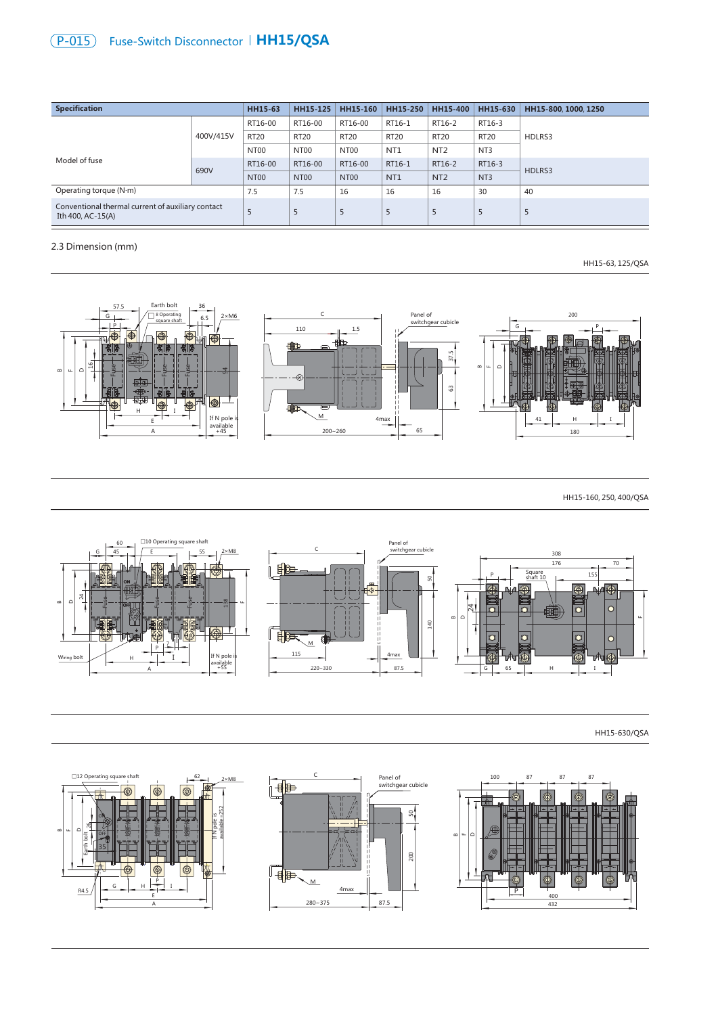# **P-015**) Fuse-Switch Disconnector | **HH15/QSA**

| <b>Specification</b>                                                   | HH15-63   | HH15-125         | HH15-160         | HH15-250         | HH15-400        | HH15-630         | HH15-800, 1000, 1250 |        |
|------------------------------------------------------------------------|-----------|------------------|------------------|------------------|-----------------|------------------|----------------------|--------|
|                                                                        | 400V/415V | RT16-00          | RT16-00          | RT16-00          | RT16-1          | RT16-2           | RT16-3               |        |
|                                                                        |           | <b>RT20</b>      | <b>RT20</b>      | <b>RT20</b>      | <b>RT20</b>     | <b>RT20</b>      | <b>RT20</b>          | HDLRS3 |
|                                                                        |           | NT00             | NT00             | NT <sub>00</sub> | NT <sub>1</sub> | NT <sub>2</sub>  | NT <sub>3</sub>      |        |
| Model of fuse                                                          | 690V      | RT16-00          | RT16-00          | RT16-00          | RT16-1          | RT16-2           | RT16-3               | HDLRS3 |
|                                                                        |           | NT <sub>00</sub> | NT <sub>00</sub> | NT <sub>00</sub> | NT <sub>1</sub> | N <sub>T</sub> 2 | NT <sub>3</sub>      |        |
| Operating torque (N·m)                                                 | 7.5       | 7.5              | 16               | 16               | 16              | 30               | 40                   |        |
| Conventional thermal current of auxiliary contact<br>Ith 400, AC-15(A) | 5         | 5                | 5                | 5                | 5               | 5                | 5                    |        |

## 2.3 Dimension (mm)

HH15-63, 125/QSA



HH15-160, 250, 400/QSA



## HH15-630/QSA